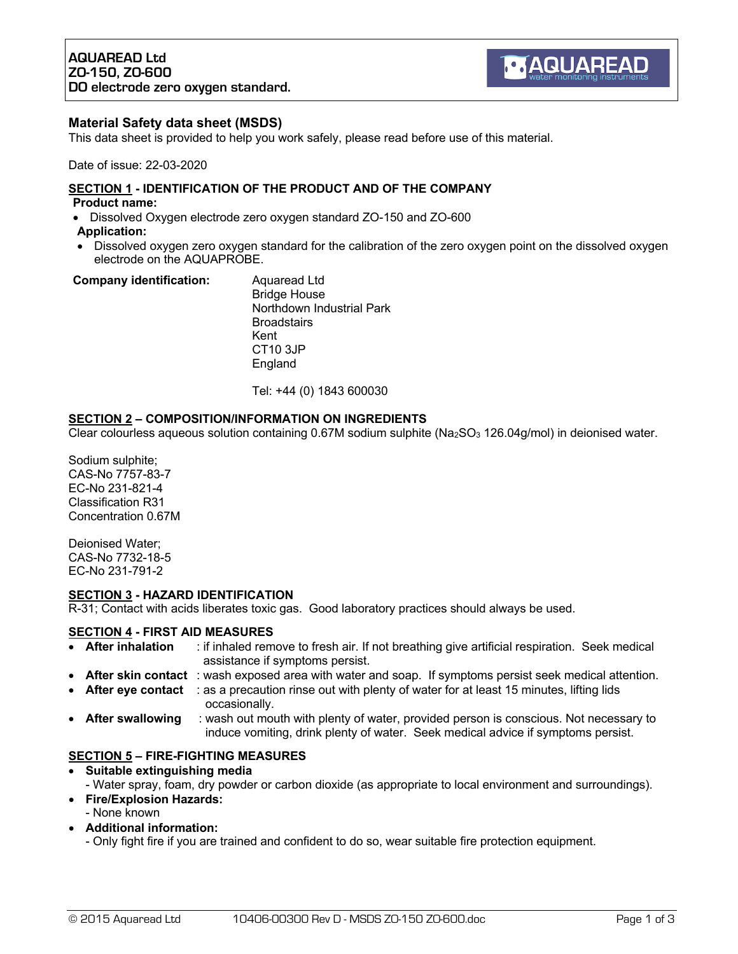# **Material Safety data sheet (MSDS)**

This data sheet is provided to help you work safely, please read before use of this material.

Date of issue: 22-03-2020

# **SECTION 1 - IDENTIFICATION OF THE PRODUCT AND OF THE COMPANY**

## **Product name:**

• Dissolved Oxygen electrode zero oxygen standard ZO-150 and ZO-600 **Application:**

England

• Dissolved oxygen zero oxygen standard for the calibration of the zero oxygen point on the dissolved oxygen electrode on the AQUAPROBE.

| <b>Company identification:</b> | Aguaread Ltd              |
|--------------------------------|---------------------------|
|                                | <b>Bridge House</b>       |
|                                | Northdown Industrial Park |
|                                | <b>Broadstairs</b>        |
|                                | Kent                      |
|                                | CT10 3JP                  |

Tel: +44 (0) 1843 600030

## **SECTION 2 – COMPOSITION/INFORMATION ON INGREDIENTS**

Clear colourless aqueous solution containing 0.67M sodium sulphite (Na<sub>2</sub>SO<sub>3</sub> 126.04g/mol) in deionised water.

Sodium sulphite; CAS-No 7757-83-7 EC-No 231-821-4 Classification R31 Concentration 0.67M

Deionised Water; CAS-No 7732-18-5 EC-No 231-791-2

#### **SECTION 3 - HAZARD IDENTIFICATION**

R-31; Contact with acids liberates toxic gas. Good laboratory practices should always be used.

#### **SECTION 4 - FIRST AID MEASURES**

- **After inhalation** : if inhaled remove to fresh air. If not breathing give artificial respiration. Seek medical assistance if symptoms persist.
- **After skin contact** : wash exposed area with water and soap. If symptoms persist seek medical attention.
- **After eye contact** : as a precaution rinse out with plenty of water for at least 15 minutes, lifting lids occasionally.
- **After swallowing** : wash out mouth with plenty of water, provided person is conscious. Not necessary to induce vomiting, drink plenty of water. Seek medical advice if symptoms persist.

# **SECTION 5 – FIRE-FIGHTING MEASURES**

- **Suitable extinguishing media** 
	- Water spray, foam, dry powder or carbon dioxide (as appropriate to local environment and surroundings).
- **Fire/Explosion Hazards:**
	- None known
- **Additional information:**
	- Only fight fire if you are trained and confident to do so, wear suitable fire protection equipment.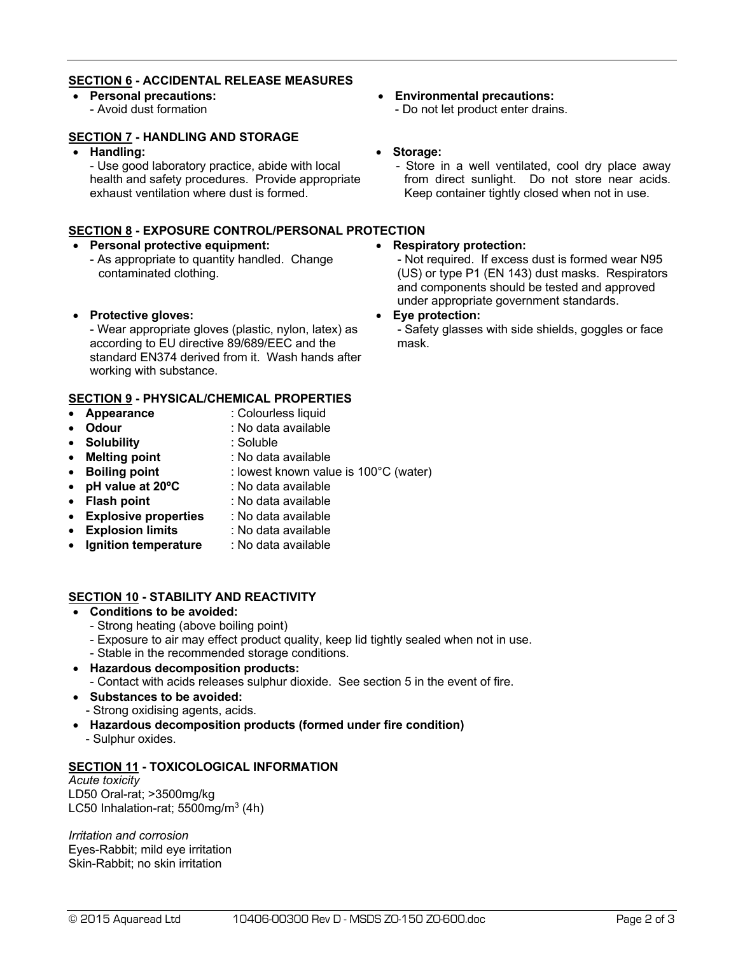# **SECTION 6 - ACCIDENTAL RELEASE MEASURES**

• **Personal precautions:** - Avoid dust formation

# **SECTION 7 - HANDLING AND STORAGE**

• **Handling:**

- Use good laboratory practice, abide with local health and safety procedures. Provide appropriate exhaust ventilation where dust is formed.

# **SECTION 8 - EXPOSURE CONTROL/PERSONAL PROTECTION**

## • **Personal protective equipment:**

- As appropriate to quantity handled. Change contaminated clothing.
- **Protective gloves:**

- Wear appropriate gloves (plastic, nylon, latex) as according to EU directive 89/689/EEC and the standard EN374 derived from it. Wash hands after working with substance.

# **SECTION 9 - PHYSICAL/CHEMICAL PROPERTIES**

- **Appearance** : Colourless liquid
- **Odour** : No data available
- **Solubility** : Soluble
	-
- **Melting point** : No data available
- **Boiling point** : lowest known value is 100°C (water)
- **pH value at 20ºC** : No data available
- **Flash point** : No data available
- **Explosive properties** : No data available
- **Explosion limits** : No data available
- **Ignition temperature** : No data available

# **SECTION 10 - STABILITY AND REACTIVITY**

- **Conditions to be avoided:**
	- Strong heating (above boiling point)
	- Exposure to air may effect product quality, keep lid tightly sealed when not in use.
	- Stable in the recommended storage conditions.
- **Hazardous decomposition products:**
	- Contact with acids releases sulphur dioxide. See section 5 in the event of fire.
- **Substances to be avoided:** - Strong oxidising agents, acids.
- **Hazardous decomposition products (formed under fire condition)**
	- Sulphur oxides.

# **SECTION 11 - TOXICOLOGICAL INFORMATION**

#### *Acute toxicity* LD50 Oral-rat; >3500mg/kg LC50 Inhalation-rat;  $5500$ mg/m<sup>3</sup> (4h)

*Irritation and corrosion* Eyes-Rabbit; mild eye irritation Skin-Rabbit; no skin irritation

- **Environmental precautions:** - Do not let product enter drains.
- **Storage:**
	- Store in a well ventilated, cool dry place away from direct sunlight. Do not store near acids. Keep container tightly closed when not in use.

# • **Respiratory protection:**

- Not required. If excess dust is formed wear N95 (US) or type P1 (EN 143) dust masks. Respirators and components should be tested and approved under appropriate government standards.

#### • **Eye protection:**

- Safety glasses with side shields, goggles or face mask.